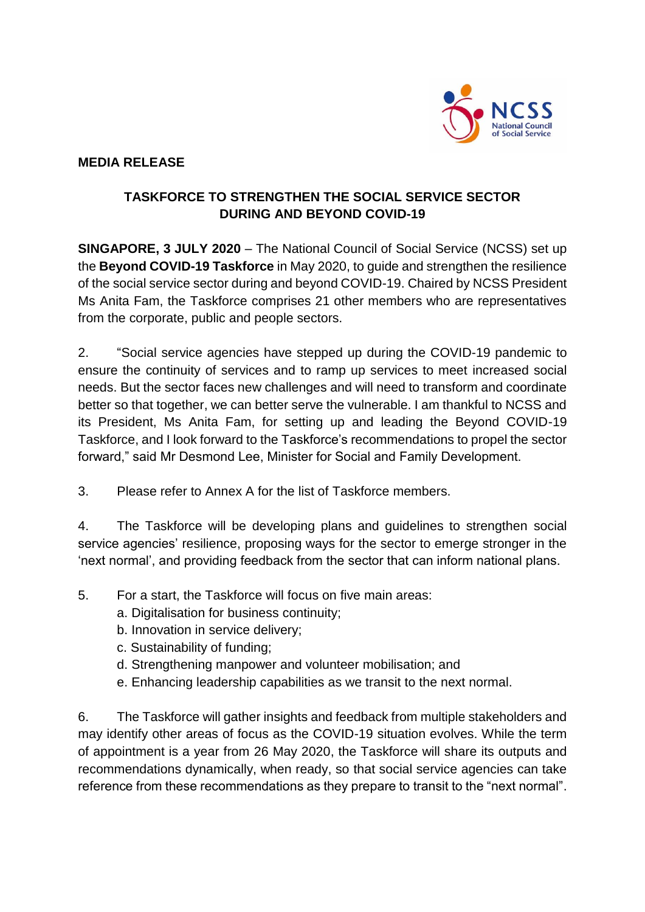

## **MEDIA RELEASE**

## **TASKFORCE TO STRENGTHEN THE SOCIAL SERVICE SECTOR DURING AND BEYOND COVID-19**

**SINGAPORE, 3 JULY 2020** – The National Council of Social Service (NCSS) set up the **Beyond COVID-19 Taskforce** in May 2020, to guide and strengthen the resilience of the social service sector during and beyond COVID-19. Chaired by NCSS President Ms Anita Fam, the Taskforce comprises 21 other members who are representatives from the corporate, public and people sectors.

2. "Social service agencies have stepped up during the COVID-19 pandemic to ensure the continuity of services and to ramp up services to meet increased social needs. But the sector faces new challenges and will need to transform and coordinate better so that together, we can better serve the vulnerable. I am thankful to NCSS and its President, Ms Anita Fam, for setting up and leading the Beyond COVID-19 Taskforce, and I look forward to the Taskforce's recommendations to propel the sector forward," said Mr Desmond Lee, Minister for Social and Family Development.

3. Please refer to Annex A for the list of Taskforce members.

4. The Taskforce will be developing plans and guidelines to strengthen social service agencies' resilience, proposing ways for the sector to emerge stronger in the 'next normal', and providing feedback from the sector that can inform national plans.

- 5. For a start, the Taskforce will focus on five main areas:
	- a. Digitalisation for business continuity;
	- b. Innovation in service delivery;
	- c. Sustainability of funding;
	- d. Strengthening manpower and volunteer mobilisation; and
	- e. Enhancing leadership capabilities as we transit to the next normal.

6. The Taskforce will gather insights and feedback from multiple stakeholders and may identify other areas of focus as the COVID-19 situation evolves. While the term of appointment is a year from 26 May 2020, the Taskforce will share its outputs and recommendations dynamically, when ready, so that social service agencies can take reference from these recommendations as they prepare to transit to the "next normal".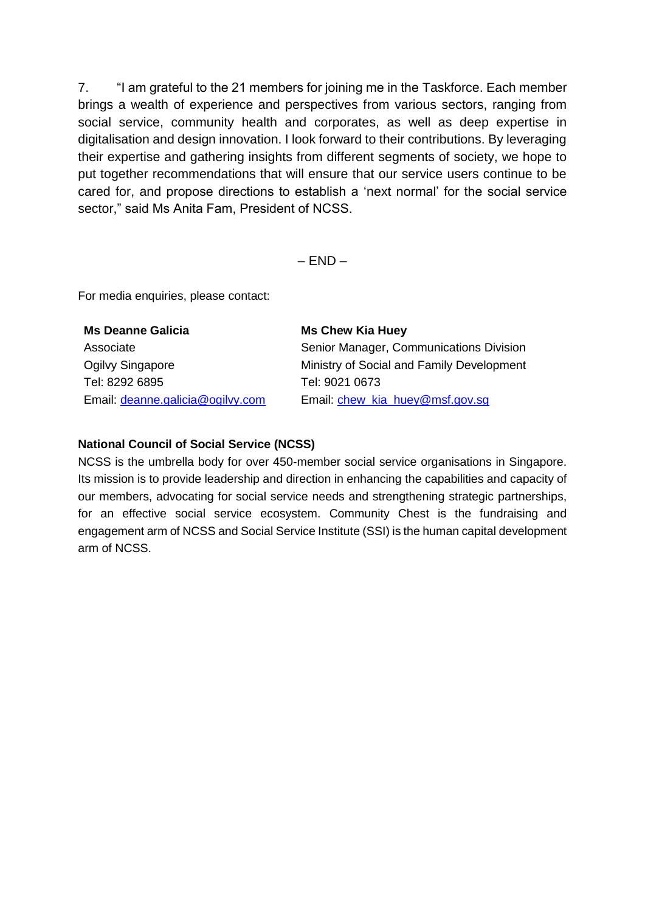7. "I am grateful to the 21 members for joining me in the Taskforce. Each member brings a wealth of experience and perspectives from various sectors, ranging from social service, community health and corporates, as well as deep expertise in digitalisation and design innovation. I look forward to their contributions. By leveraging their expertise and gathering insights from different segments of society, we hope to put together recommendations that will ensure that our service users continue to be cared for, and propose directions to establish a 'next normal' for the social service sector," said Ms Anita Fam, President of NCSS.

 $-$  END  $-$ 

For media enquiries, please contact:

| <b>Ms Deanne Galicia</b>         | <b>Ms Chew Kia Huey</b>                   |
|----------------------------------|-------------------------------------------|
| Associate                        | Senior Manager, Communications Division   |
| Ogilvy Singapore                 | Ministry of Social and Family Development |
| Tel: 8292 6895                   | Tel: 9021 0673                            |
| Email: deanne.galicia@ogilvy.com | Email: chew kia huey@msf.gov.sg           |

## **National Council of Social Service (NCSS)**

NCSS is the umbrella body for over 450-member social service organisations in Singapore. Its mission is to provide leadership and direction in enhancing the capabilities and capacity of our members, advocating for social service needs and strengthening strategic partnerships, for an effective social service ecosystem. Community Chest is the fundraising and engagement arm of NCSS and Social Service Institute (SSI) is the human capital development arm of NCSS.